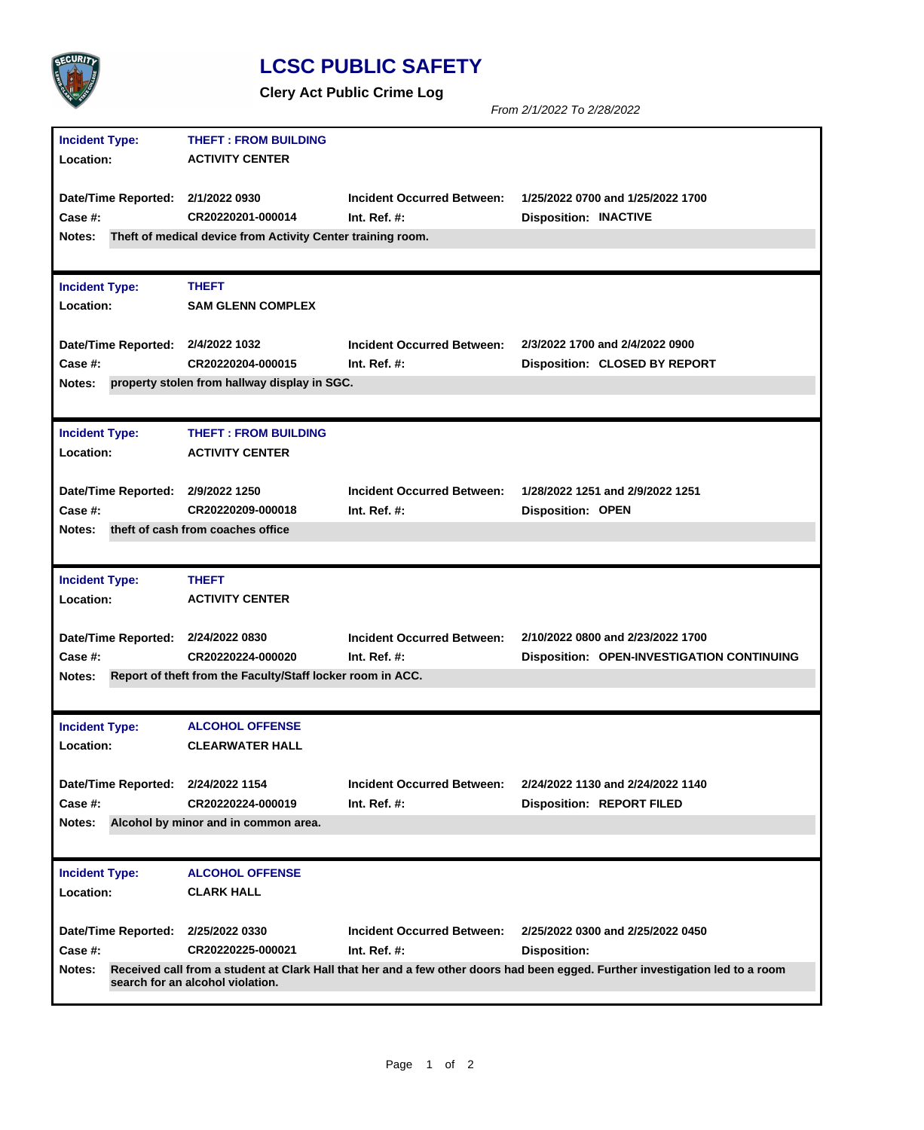

## **LCSC PUBLIC SAFETY**

**Clery Act Public Crime Log**

*From 2/1/2022 To 2/28/2022*

| <b>Incident Type:</b>              | <b>THEFT: FROM BUILDING</b>                                 |                                   |                                                                                                                               |
|------------------------------------|-------------------------------------------------------------|-----------------------------------|-------------------------------------------------------------------------------------------------------------------------------|
| Location:                          | <b>ACTIVITY CENTER</b>                                      |                                   |                                                                                                                               |
|                                    |                                                             |                                   |                                                                                                                               |
| Date/Time Reported: 2/1/2022 0930  |                                                             | <b>Incident Occurred Between:</b> | 1/25/2022 0700 and 1/25/2022 1700                                                                                             |
| Case #:                            | CR20220201-000014                                           | Int. Ref. $#$ :                   | <b>Disposition: INACTIVE</b>                                                                                                  |
| Notes:                             | Theft of medical device from Activity Center training room. |                                   |                                                                                                                               |
|                                    |                                                             |                                   |                                                                                                                               |
| <b>Incident Type:</b>              | <b>THEFT</b>                                                |                                   |                                                                                                                               |
| Location:                          | <b>SAM GLENN COMPLEX</b>                                    |                                   |                                                                                                                               |
|                                    |                                                             |                                   |                                                                                                                               |
| Date/Time Reported: 2/4/2022 1032  |                                                             | <b>Incident Occurred Between:</b> | 2/3/2022 1700 and 2/4/2022 0900                                                                                               |
| <b>Case #:</b>                     | CR20220204-000015                                           | Int. Ref. $#$ :                   | <b>Disposition: CLOSED BY REPORT</b>                                                                                          |
| Notes:                             | property stolen from hallway display in SGC.                |                                   |                                                                                                                               |
|                                    |                                                             |                                   |                                                                                                                               |
| <b>Incident Type:</b>              | <b>THEFT: FROM BUILDING</b>                                 |                                   |                                                                                                                               |
| Location:                          | <b>ACTIVITY CENTER</b>                                      |                                   |                                                                                                                               |
|                                    |                                                             |                                   |                                                                                                                               |
| Date/Time Reported: 2/9/2022 1250  |                                                             | <b>Incident Occurred Between:</b> | 1/28/2022 1251 and 2/9/2022 1251                                                                                              |
| Case #:                            | CR20220209-000018                                           | Int. Ref. $#$ :                   | <b>Disposition: OPEN</b>                                                                                                      |
| Notes:                             | theft of cash from coaches office                           |                                   |                                                                                                                               |
|                                    |                                                             |                                   |                                                                                                                               |
|                                    |                                                             |                                   |                                                                                                                               |
| <b>Incident Type:</b>              | <b>THEFT</b>                                                |                                   |                                                                                                                               |
| Location:                          | <b>ACTIVITY CENTER</b>                                      |                                   |                                                                                                                               |
|                                    |                                                             |                                   |                                                                                                                               |
| Date/Time Reported: 2/24/2022 0830 |                                                             | <b>Incident Occurred Between:</b> | 2/10/2022 0800 and 2/23/2022 1700                                                                                             |
| Case #:                            | CR20220224-000020                                           | Int. Ref. $#$ :                   | <b>Disposition: OPEN-INVESTIGATION CONTINUING</b>                                                                             |
| Notes:                             | Report of theft from the Faculty/Staff locker room in ACC.  |                                   |                                                                                                                               |
|                                    |                                                             |                                   |                                                                                                                               |
|                                    | <b>ALCOHOL OFFENSE</b>                                      |                                   |                                                                                                                               |
| <b>Incident Type:</b><br>Location: | <b>CLEARWATER HALL</b>                                      |                                   |                                                                                                                               |
|                                    |                                                             |                                   |                                                                                                                               |
| Date/Time Reported: 2/24/2022 1154 |                                                             | <b>Incident Occurred Between:</b> | 2/24/2022 1130 and 2/24/2022 1140                                                                                             |
| Case #:                            | CR20220224-000019                                           | Int. Ref. $#$ :                   | <b>Disposition: REPORT FILED</b>                                                                                              |
| Notes:                             | Alcohol by minor and in common area.                        |                                   |                                                                                                                               |
|                                    |                                                             |                                   |                                                                                                                               |
| <b>Incident Type:</b>              | <b>ALCOHOL OFFENSE</b>                                      |                                   |                                                                                                                               |
| Location:                          | <b>CLARK HALL</b>                                           |                                   |                                                                                                                               |
|                                    |                                                             |                                   |                                                                                                                               |
| Date/Time Reported:                | 2/25/2022 0330                                              | <b>Incident Occurred Between:</b> | 2/25/2022 0300 and 2/25/2022 0450                                                                                             |
| Case #:                            | CR20220225-000021                                           | Int. Ref. $#$ :                   | Disposition:                                                                                                                  |
| Notes:                             | search for an alcohol violation.                            |                                   | Received call from a student at Clark Hall that her and a few other doors had been egged. Further investigation led to a room |